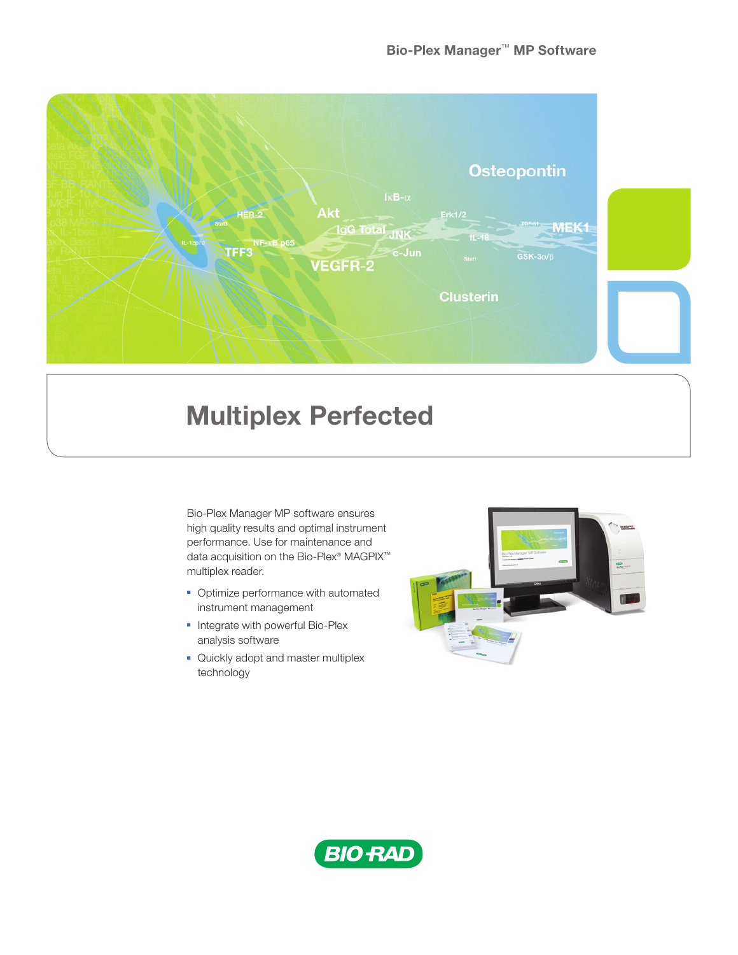

# Multiplex Perfected

Bio-Plex Manager MP software ensures high quality results and optimal instrument performance. Use for maintenance and data acquisition on the Bio-Plex® MAGPIX™ multiplex reader.

- Optimize performance with automated instrument management
- Integrate with powerful Bio-Plex analysis software
- Quickly adopt and master multiplex technology